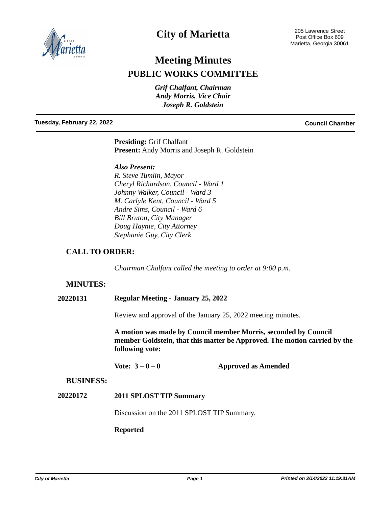

## **City of Marietta**

# **Meeting Minutes PUBLIC WORKS COMMITTEE**

*Grif Chalfant, Chairman Andy Morris, Vice Chair Joseph R. Goldstein*

#### **Tuesday, February 22, 2022 Council Chamber**

**Presiding:** Grif Chalfant **Present:** Andy Morris and Joseph R. Goldstein

#### *Also Present:*

*R. Steve Tumlin, Mayor Cheryl Richardson, Council - Ward 1 Johnny Walker, Council - Ward 3 M. Carlyle Kent, Council - Ward 5 Andre Sims, Council - Ward 6 Bill Bruton, City Manager Doug Haynie, City Attorney Stephanie Guy, City Clerk*

### **CALL TO ORDER:**

*Chairman Chalfant called the meeting to order at 9:00 p.m.*

#### **MINUTES:**

#### **20220131 Regular Meeting - January 25, 2022**

Review and approval of the January 25, 2022 meeting minutes.

**A motion was made by Council member Morris, seconded by Council member Goldstein, that this matter be Approved. The motion carried by the following vote:**

**Vote: 3 – 0 – 0 Approved as Amended**

#### **BUSINESS:**

**20220172 2011 SPLOST TIP Summary**

Discussion on the 2011 SPLOST TIP Summary.

#### **Reported**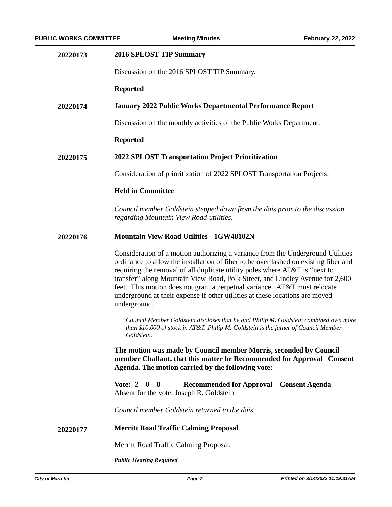| 20220173 | <b>2016 SPLOST TIP Summary</b>                                                                                                                                                                                                                                                                                                                                                                                                                                                                                       |
|----------|----------------------------------------------------------------------------------------------------------------------------------------------------------------------------------------------------------------------------------------------------------------------------------------------------------------------------------------------------------------------------------------------------------------------------------------------------------------------------------------------------------------------|
|          | Discussion on the 2016 SPLOST TIP Summary.                                                                                                                                                                                                                                                                                                                                                                                                                                                                           |
|          | <b>Reported</b>                                                                                                                                                                                                                                                                                                                                                                                                                                                                                                      |
| 20220174 | <b>January 2022 Public Works Departmental Performance Report</b>                                                                                                                                                                                                                                                                                                                                                                                                                                                     |
|          | Discussion on the monthly activities of the Public Works Department.                                                                                                                                                                                                                                                                                                                                                                                                                                                 |
|          | <b>Reported</b>                                                                                                                                                                                                                                                                                                                                                                                                                                                                                                      |
| 20220175 | <b>2022 SPLOST Transportation Project Prioritization</b>                                                                                                                                                                                                                                                                                                                                                                                                                                                             |
|          | Consideration of prioritization of 2022 SPLOST Transportation Projects.                                                                                                                                                                                                                                                                                                                                                                                                                                              |
|          | <b>Held in Committee</b>                                                                                                                                                                                                                                                                                                                                                                                                                                                                                             |
|          | Council member Goldstein stepped down from the dais prior to the discussion<br>regarding Mountain View Road utilities.                                                                                                                                                                                                                                                                                                                                                                                               |
| 20220176 | <b>Mountain View Road Utilities - 1GW48102N</b>                                                                                                                                                                                                                                                                                                                                                                                                                                                                      |
|          | Consideration of a motion authorizing a variance from the Underground Utilities<br>ordinance to allow the installation of fiber to be over lashed on existing fiber and<br>requiring the removal of all duplicate utility poles where AT&T is "next to<br>transfer" along Mountain View Road, Polk Street, and Lindley Avenue for 2,600<br>feet. This motion does not grant a perpetual variance. AT&T must relocate<br>underground at their expense if other utilities at these locations are moved<br>underground. |
|          | Council Member Goldstein discloses that he and Philip M. Goldstein combined own more<br>than \$10,000 of stock in AT&T. Philip M. Goldstein is the father of Council Member<br>Goldstein.                                                                                                                                                                                                                                                                                                                            |
|          | The motion was made by Council member Morris, seconded by Council<br>member Chalfant, that this matter be Recommended for Approval Consent<br>Agenda. The motion carried by the following vote:                                                                                                                                                                                                                                                                                                                      |
|          | Vote: $2 - 0 - 0$<br>Recommended for Approval – Consent Agenda<br>Absent for the vote: Joseph R. Goldstein                                                                                                                                                                                                                                                                                                                                                                                                           |
|          | Council member Goldstein returned to the dais.                                                                                                                                                                                                                                                                                                                                                                                                                                                                       |
| 20220177 | <b>Merritt Road Traffic Calming Proposal</b>                                                                                                                                                                                                                                                                                                                                                                                                                                                                         |
|          | Merritt Road Traffic Calming Proposal.                                                                                                                                                                                                                                                                                                                                                                                                                                                                               |
|          | <b>Public Hearing Required</b>                                                                                                                                                                                                                                                                                                                                                                                                                                                                                       |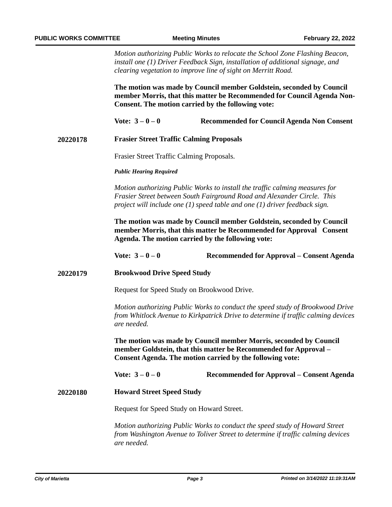*Motion authorizing Public Works to relocate the School Zone Flashing Beacon, install one (1) Driver Feedback Sign, installation of additional signage, and clearing vegetation to improve line of sight on Merritt Road.* 

**The motion was made by Council member Goldstein, seconded by Council member Morris, that this matter be Recommended for Council Agenda Non-Consent. The motion carried by the following vote:**

**Vote: 3 – 0 – 0 Recommended for Council Agenda Non Consent**

**20220178 Frasier Street Traffic Calming Proposals**

Frasier Street Traffic Calming Proposals.

*Public Hearing Required*

*Motion authorizing Public Works to install the traffic calming measures for Frasier Street between South Fairground Road and Alexander Circle. This project will include one (1) speed table and one (1) driver feedback sign.* 

**The motion was made by Council member Goldstein, seconded by Council member Morris, that this matter be Recommended for Approval Consent Agenda. The motion carried by the following vote:**

**Vote: 3 – 0 – 0 Recommended for Approval – Consent Agenda**

#### **20220179 Brookwood Drive Speed Study**

Request for Speed Study on Brookwood Drive.

*Motion authorizing Public Works to conduct the speed study of Brookwood Drive from Whitlock Avenue to Kirkpatrick Drive to determine if traffic calming devices are needed.*

**The motion was made by Council member Morris, seconded by Council member Goldstein, that this matter be Recommended for Approval – Consent Agenda. The motion carried by the following vote:**

**Vote: 3 – 0 – 0 Recommended for Approval – Consent Agenda**

**Howard Street Speed Study 20220180**

Request for Speed Study on Howard Street.

*Motion authorizing Public Works to conduct the speed study of Howard Street from Washington Avenue to Toliver Street to determine if traffic calming devices are needed.*